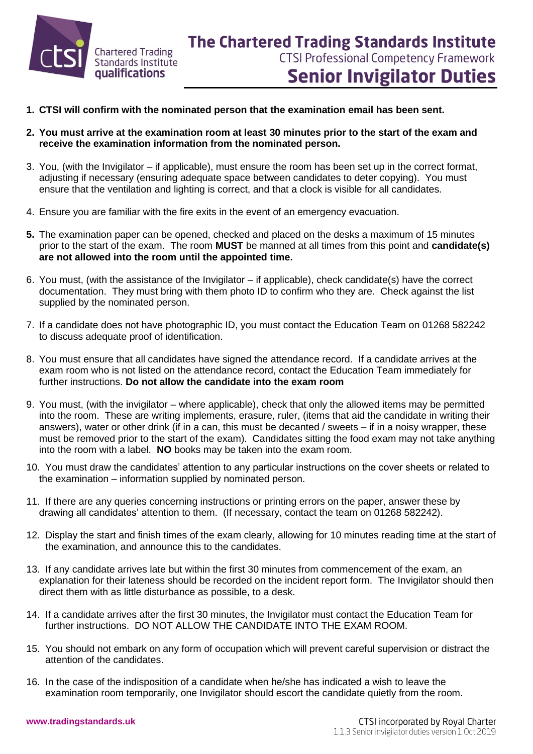

- **1. CTSI will confirm with the nominated person that the examination email has been sent.**
- **2. You must arrive at the examination room at least 30 minutes prior to the start of the exam and receive the examination information from the nominated person.**
- 3. You, (with the Invigilator if applicable), must ensure the room has been set up in the correct format, adjusting if necessary (ensuring adequate space between candidates to deter copying). You must ensure that the ventilation and lighting is correct, and that a clock is visible for all candidates.
- 4. Ensure you are familiar with the fire exits in the event of an emergency evacuation.
- **5.** The examination paper can be opened, checked and placed on the desks a maximum of 15 minutes prior to the start of the exam. The room **MUST** be manned at all times from this point and **candidate(s) are not allowed into the room until the appointed time.**
- 6. You must, (with the assistance of the Invigilator if applicable), check candidate(s) have the correct documentation. They must bring with them photo ID to confirm who they are. Check against the list supplied by the nominated person.
- 7. If a candidate does not have photographic ID, you must contact the Education Team on 01268 582242 to discuss adequate proof of identification.
- 8. You must ensure that all candidates have signed the attendance record. If a candidate arrives at the exam room who is not listed on the attendance record, contact the Education Team immediately for further instructions. **Do not allow the candidate into the exam room**
- 9. You must, (with the invigilator where applicable), check that only the allowed items may be permitted into the room. These are writing implements, erasure, ruler, (items that aid the candidate in writing their answers), water or other drink (if in a can, this must be decanted / sweets – if in a noisy wrapper, these must be removed prior to the start of the exam). Candidates sitting the food exam may not take anything into the room with a label. **NO** books may be taken into the exam room.
- 10. You must draw the candidates' attention to any particular instructions on the cover sheets or related to the examination – information supplied by nominated person.
- 11. If there are any queries concerning instructions or printing errors on the paper, answer these by drawing all candidates' attention to them. (If necessary, contact the team on 01268 582242).
- 12. Display the start and finish times of the exam clearly, allowing for 10 minutes reading time at the start of the examination, and announce this to the candidates.
- 13. If any candidate arrives late but within the first 30 minutes from commencement of the exam, an explanation for their lateness should be recorded on the incident report form. The Invigilator should then direct them with as little disturbance as possible, to a desk.
- 14. If a candidate arrives after the first 30 minutes, the Invigilator must contact the Education Team for further instructions. DO NOT ALLOW THE CANDIDATE INTO THE EXAM ROOM.
- 15. You should not embark on any form of occupation which will prevent careful supervision or distract the attention of the candidates.
- 16. In the case of the indisposition of a candidate when he/she has indicated a wish to leave the examination room temporarily, one Invigilator should escort the candidate quietly from the room.